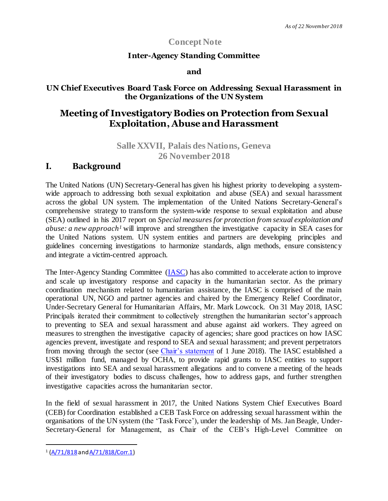## **Concept Note**

### **Inter-Agency Standing Committee**

#### **and**

### **UN Chief Executives Board Task Force on Addressing Sexual Harassment in the Organizations of the UN System**

# **Meeting of Investigatory Bodies on Protection from Sexual Exploitation, Abuse and Harassment**

## **Salle XXVII, Palais des Nations, Geneva 26 November2018**

## **I. Background**

The United Nations (UN) Secretary-General has given his highest priority to developing a systemwide approach to addressing both sexual exploitation and abuse (SEA) and sexual harassment across the global UN system. The implementation of the United Nations Secretary-General's comprehensive strategy to transform the system-wide response to sexual exploitation and abuse (SEA) outlined in his 2017 report on *Special measures for protection from sexual exploitation and abuse: a new approach<sup>1</sup>* will improve and strengthen the investigative capacity in SEA cases for the United Nations system. UN system entities and partners are developing principles and guidelines concerning investigations to harmonize standards, align methods, ensure consistency and integrate a victim-centred approach.

The Inter-Agency Standing Committee [\(IASC\)](https://interagencystandingcommittee.org/iasc/membership-and-structure) has also committed to accelerate action to improve and scale up investigatory response and capacity in the humanitarian sector. As the primary coordination mechanism related to humanitarian assistance, the IASC is comprised of the main operational UN, NGO and partner agencies and chaired by the Emergency Relief Coordinator, Under-Secretary General for Humanitarian Affairs, Mr. Mark Lowcock. On 31 May 2018, IASC Principals iterated their commitment to collectively strengthen the humanitarian sector's approach to preventing to SEA and sexual harassment and abuse against aid workers. They agreed on measures to strengthen the investigative capacity of agencies; share good practices on how IASC agencies prevent, investigate and respond to SEA and sexual harassment; and prevent perpetrators from moving through the sector (see *Chair's statement* of 1 June 2018). The IASC established a US\$1 million fund, managed by OCHA, to provide rapid grants to IASC entities to support investigations into SEA and sexual harassment allegations and to convene a meeting of the heads of their investigatory bodies to discuss challenges, how to address gaps, and further strengthen investigative capacities across the humanitarian sector.

In the field of sexual harassment in 2017, the United Nations System Chief Executives Board (CEB) for Coordination established a CEB Task Force on addressing sexual harassment within the organisations of the UN system (the 'Task Force'), under the leadership of Ms. Jan Beagle, Under-Secretary-General for Management, as Chair of the CEB's High-Level Committee on

l

<sup>&</sup>lt;sup>1</sup> [\(A/71/818](http://www.undocs.org/a/71/818) an[d A/71/818/Corr.1](https://undocs.org/A/71/818/Corr.1))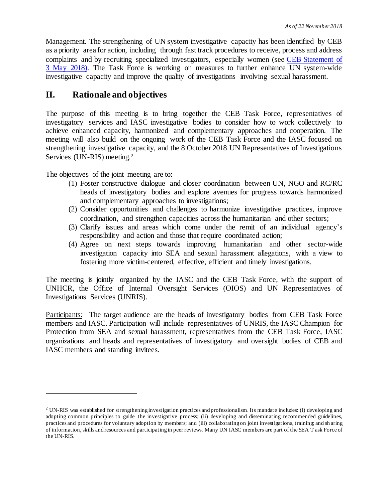Management. The strengthening of UN system investigative capacity has been identified by CEB as a priority area for action, including through fast track procedures to receive, process and address complaints and by recruiting specialized investigators, especially women (see [CEB Statement of](file:///C:/Users/CUE/AppData/Local/Microsoft/Windows/INetCache/Content.Outlook/Documents%20for%20CEB/Note%20and%20CEB%20statement_FINAL.pdf)  [3 May 2018\).](file:///C:/Users/CUE/AppData/Local/Microsoft/Windows/INetCache/Content.Outlook/Documents%20for%20CEB/Note%20and%20CEB%20statement_FINAL.pdf) The Task Force is working on measures to further enhance UN system-wide investigative capacity and improve the quality of investigations involving sexual harassment.

## **II. Rationale and objectives**

The purpose of this meeting is to bring together the CEB Task Force, representatives of investigatory services and IASC investigative bodies to consider how to work collectively to achieve enhanced capacity, harmonized and complementary approaches and cooperation. The meeting will also build on the ongoing work of the CEB Task Force and the IASC focused on strengthening investigative capacity, and the 8 October 2018 UN Representatives of Investigations Services (UN-RIS) meeting. 2

The objectives of the joint meeting are to:

l

- (1) Foster constructive dialogue and closer coordination between UN, NGO and RC/RC heads of investigatory bodies and explore avenues for progress towards harmonized and complementary approaches to investigations;
- (2) Consider opportunities and challenges to harmonize investigative practices, improve coordination, and strengthen capacities across the humanitarian and other sectors;
- (3) Clarify issues and areas which come under the remit of an individual agency's responsibility and action and those that require coordinated action;
- (4) Agree on next steps towards improving humanitarian and other sector-wide investigation capacity into SEA and sexual harassment allegations, with a view to fostering more victim-centered, effective, efficient and timely investigations.

The meeting is jointly organized by the IASC and the CEB Task Force, with the support of UNHCR, the Office of Internal Oversight Services (OIOS) and UN Representatives of Investigations Services (UNRIS).

Participants: The target audience are the heads of investigatory bodies from CEB Task Force members and IASC. Participation will include representatives of UNRIS, the IASC Champion for Protection from SEA and sexual harassment, representatives from the CEB Task Force, IASC organizations and heads and representatives of investigatory and oversight bodies of CEB and IASC members and standing invitees.

<sup>2</sup> UN-RIS was established for strengthening investigation practices and professionalism. Its mandate includes: (i) developing and adopting common principles to guide the investigative process; (ii) developing and disseminating recommended guidelines, practices and procedures for voluntary adoption by members; and (iii) collaborating on joint investigations, training; and sh aring of information, skills and resources and participating in peer reviews. Many UN IASC members are part of the SEA T ask Force of the UN-RIS.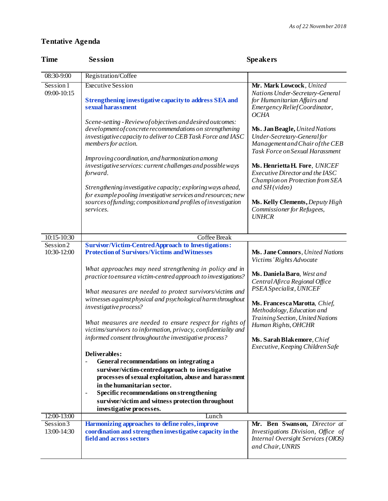## **Tentative Agenda**

| <b>Time</b>                         | <b>Session</b>                                                                                                                                                                                                                                                                                                                                                                                                                                                                                                                                                                                                                                                                                                                                                                                                                                                                                        | <b>Speakers</b>                                                                                                                                                                                                                                                                                                                                     |
|-------------------------------------|-------------------------------------------------------------------------------------------------------------------------------------------------------------------------------------------------------------------------------------------------------------------------------------------------------------------------------------------------------------------------------------------------------------------------------------------------------------------------------------------------------------------------------------------------------------------------------------------------------------------------------------------------------------------------------------------------------------------------------------------------------------------------------------------------------------------------------------------------------------------------------------------------------|-----------------------------------------------------------------------------------------------------------------------------------------------------------------------------------------------------------------------------------------------------------------------------------------------------------------------------------------------------|
| 08:30-9:00                          | Registration/Coffee                                                                                                                                                                                                                                                                                                                                                                                                                                                                                                                                                                                                                                                                                                                                                                                                                                                                                   |                                                                                                                                                                                                                                                                                                                                                     |
| Session 1<br>09:00-10:15            | <b>Executive Session</b><br>Strengthening investigative capacity to address SEA and<br>sexual harassment                                                                                                                                                                                                                                                                                                                                                                                                                                                                                                                                                                                                                                                                                                                                                                                              | Mr. Mark Lowcock, United<br>Nations Under-Secretary-General<br>for Humanitarian Affairs and<br>EmergencyReliefCoordinator,                                                                                                                                                                                                                          |
|                                     | Scene-setting - Review of objectives and desired outcomes:<br>development of concrete recommendations on strengthening<br>investigative capacity to deliver to CEB Task Force and IASC<br>members for action.<br>Improving coordination, and harmonization among<br>investigative services: current challenges and possible ways<br>forward.<br>Strengthening investigative capacity; exploring ways ahead,<br>for example pooling investigative services and resources; new                                                                                                                                                                                                                                                                                                                                                                                                                          | <b>OCHA</b><br>Ms. Jan Beagle, United Nations<br>Under-Secretary-General for<br>Management and Chair of the CEB<br>Task Force on Sexual Harassment<br>Ms. Henrietta H. Fore, UNICEF<br>Executive Director and the IASC<br>Champion on Protection from SEA<br>and $SH(\text{video})$                                                                 |
|                                     | sources of funding; composition and profiles of investigation<br>services.                                                                                                                                                                                                                                                                                                                                                                                                                                                                                                                                                                                                                                                                                                                                                                                                                            | Ms. Kelly Clements, Deputy High<br>Commissioner for Refugees,<br><b>UNHCR</b>                                                                                                                                                                                                                                                                       |
| 10:15-10:30<br>Session <sub>2</sub> | Coffee Break<br><b>Survivor/Victim-Centred Approach to Investigations:</b>                                                                                                                                                                                                                                                                                                                                                                                                                                                                                                                                                                                                                                                                                                                                                                                                                            |                                                                                                                                                                                                                                                                                                                                                     |
| 10:30-12:00                         | <b>Protection of Survivors/Victims and Witnesses</b><br>What approaches may need strengthening in policy and in<br>practice to ensure a victim-centred approach to investigations?<br>What measures are needed to protect survivors/victims and<br>witnesses against physical and psychological harm throughout<br>investigative process?<br>What measures are needed to ensure respect for rights of<br>victims/survivors to information, privacy, confidentiality and<br>informed consent throughout the investigative process?<br>Deliverables:<br>General recommendations on integrating a<br>survivor/victim-centredapproach to investigative<br>processes of sexual exploitation, abuse and harassment<br>in the humanitarian sector.<br>Specific recommendations on strengthening<br>$\overline{\phantom{a}}$<br>survivor/victim and witness protection throughout<br>investigative processes. | Ms. Jane Connors, United Nations<br>Victims' Rights Advocate<br>Ms. Daniela Baro, West and<br>Central Afirca Regional Office<br>PSEA Specialist, UNICEF<br>Ms. Francesca Marotta, Chief,<br>Methodology, Education and<br>Training Section, United Nations<br>Human Rights, OHCHR<br>Ms. Sarah Blakemore, Chief<br>Executive, Keeping Children Safe |
| 12:00-13:00                         | Lunch                                                                                                                                                                                                                                                                                                                                                                                                                                                                                                                                                                                                                                                                                                                                                                                                                                                                                                 |                                                                                                                                                                                                                                                                                                                                                     |
| Session 3<br>13:00-14:30            | Harmonizing approaches to define roles, improve<br>coordination and strengthen investigative capacity in the<br>field and across sectors                                                                                                                                                                                                                                                                                                                                                                                                                                                                                                                                                                                                                                                                                                                                                              | Mr. Ben Swanson, Director at<br>Investigations Division, Office of<br>Internal Oversight Services (OIOS)<br>and Chair, UNRIS                                                                                                                                                                                                                        |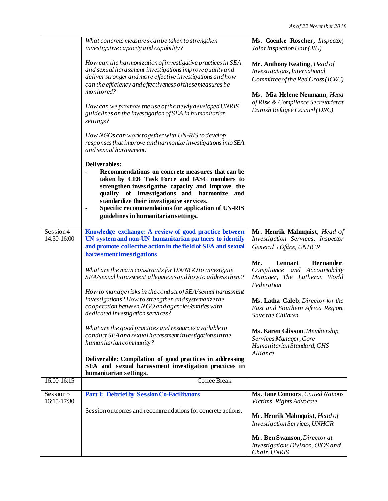|                          | What concrete measures can be taken to strengthen<br>investigative capacity and capability?                                                                                                                                                                                                                                                                        | Ms. Goenke Roscher, Inspector,<br>Joint Inspection Unit (JIU)                                                                                                             |
|--------------------------|--------------------------------------------------------------------------------------------------------------------------------------------------------------------------------------------------------------------------------------------------------------------------------------------------------------------------------------------------------------------|---------------------------------------------------------------------------------------------------------------------------------------------------------------------------|
|                          | How can the harmonization of investigative practices in SEA<br>and sexual harassment investigations improve quality and<br>deliver stronger and more effective investigations and how<br>can the efficiency and effectiveness of these measures be<br>monitored?<br>How can we promote the use of the newly developed UNRIS                                        | Mr. Anthony Keating, Head of<br>Investigations, International<br>Committee of the Red Cross (ICRC)<br>Ms. Mia Helene Neumann, Head<br>of Risk & Compliance Secretariat at |
|                          | guidelines on the investigation of SEA in humanitarian<br>settings?                                                                                                                                                                                                                                                                                                | Danish Refugee Council (DRC)                                                                                                                                              |
|                          | How NGOs can work together with UN-RIS to develop<br>responses that improve and harmonize investigations into SEA<br>and sexual harassment.                                                                                                                                                                                                                        |                                                                                                                                                                           |
|                          | Deliverables:<br>Recommendations on concrete measures that can be<br>taken by CEB Task Force and IASC members to<br>strengthen investigative capacity and improve the<br>quality of investigations and<br>harmonize and<br>standardize their investigative services.<br>Specific recommendations for application of UN-RIS<br>guidelines in humanitarian settings. |                                                                                                                                                                           |
| Session4<br>14:30-16:00  | Knowledge exchange: A review of good practice between<br>UN system and non-UN humanitarian partners to identify<br>and promote collective action in the field of SEA and sexual<br>harassment investigations                                                                                                                                                       | Mr. Henrik Malmquist, Head of<br>Investigation Services, Inspector<br>General's Office, UNHCR                                                                             |
|                          | What are the main constraints for UN/NGO to investigate<br>SEA/sexual harassment allegations and how to address them?<br>How to manage risks in the conduct of SEA/sexual harassment                                                                                                                                                                               | Mr.<br>Lennart<br>Hernander,<br>Compliance and Accountability<br>Manager, The Lutheran World<br>Federation                                                                |
|                          | investigations? How to strengthen and systematize the<br>cooperation between NGO and agencies/entities with<br>dedicated investigation services?                                                                                                                                                                                                                   | Ms. Latha Caleb, Director for the<br>East and Southern Africa Region,<br>Save the Children                                                                                |
|                          | What are the good practices and resources available to<br>conduct SEA and sexual harassment investigations in the<br>humanitarian community?                                                                                                                                                                                                                       | Ms. Karen Glisson, Membership<br>Services Manager, Core<br>Humanitarian Standard, CHS<br>Alliance                                                                         |
|                          | Deliverable: Compilation of good practices in addressing<br>SEA and sexual harassment investigation practices in<br>humanitarian settings.                                                                                                                                                                                                                         |                                                                                                                                                                           |
| 16:00-16:15              | <b>Coffee Break</b>                                                                                                                                                                                                                                                                                                                                                |                                                                                                                                                                           |
| Session 5<br>16:15-17:30 | <b>Part I: Debrief by Session Co-Facilitators</b>                                                                                                                                                                                                                                                                                                                  | Ms. Jane Connors, United Nations<br>Victims' Rights Advocate                                                                                                              |
|                          | Session outcomes and recommendations for concrete actions.                                                                                                                                                                                                                                                                                                         | Mr. Henrik Malmquist, Head of<br><b>Investigation Services</b> , UNHCR                                                                                                    |
|                          |                                                                                                                                                                                                                                                                                                                                                                    | Mr. Ben Swanson, Director at<br>Investigations Division, OIOS and<br>Chair, UNRIS                                                                                         |